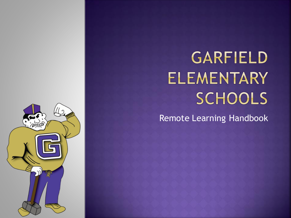# **GARFIELD ELEMENTARY** SCHOOLS

Remote Learning Handbook

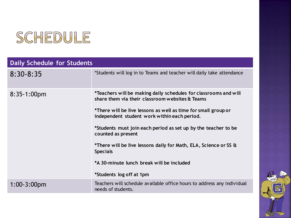

| <b>Daily Schedule for Students</b> |                                                                                                                                                                                                                                                                                                                                                                                                                                                                                               |
|------------------------------------|-----------------------------------------------------------------------------------------------------------------------------------------------------------------------------------------------------------------------------------------------------------------------------------------------------------------------------------------------------------------------------------------------------------------------------------------------------------------------------------------------|
| $8:30 - 8:35$                      | *Students will log in to Teams and teacher will daily take attendance                                                                                                                                                                                                                                                                                                                                                                                                                         |
| $8:35-1:00$ pm                     | *Teachers will be making daily schedules for classrooms and will<br>share them via their classroom websites & Teams<br>*There will be live lessons as well as time for small group or<br>independent student work within each period.<br>*Students must join each period as set up by the teacher to be<br>counted as present<br>*There will be live lessons daily for Math, ELA, Science or SS &<br><b>Specials</b><br>*A 30-minute lunch break will be included<br>*Students log off at 1pm |
| $1:00-3:00$ pm                     | Teachers will schedule available office hours to address any individual<br>needs of students.                                                                                                                                                                                                                                                                                                                                                                                                 |

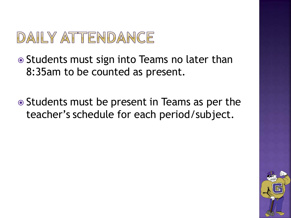## DAILY ATTENDANCE

• Students must sign into Teams no later than 8:35am to be counted as present.

**■** Students must be present in Teams as per the teacher's schedule for each period/subject.

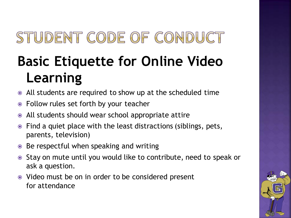## STUDENT CODE OF CONDUCT

## **Basic Etiquette for Online Video Learning**

- All students are required to show up at the scheduled time
- Follow rules set forth by your teacher
- All students should wear school appropriate attire
- Find a quiet place with the least distractions (siblings, pets, parents, television)
- Be respectful when speaking and writing
- Stay on mute until you would like to contribute, need to speak or ask a question.
- Video must be on in order to be considered present for attendance

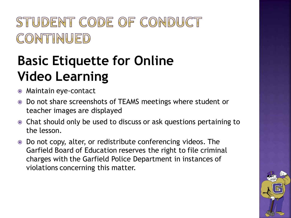### STUDENT CODE OF CONDUCT CONTINUED

### **Basic Etiquette for Online Video Learning**

- Maintain eye-contact
- Do not share screenshots of TEAMS meetings where student or teacher images are displayed
- Chat should only be used to discuss or ask questions pertaining to the lesson.
- Do not copy, alter, or redistribute conferencing videos. The Garfield Board of Education reserves the right to file criminal charges with the Garfield Police Department in instances of violations concerning this matter.

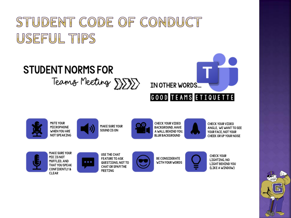### STUDENT CODE OF CONDUCT USEFUL TIPS



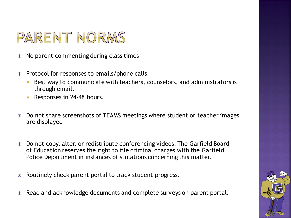### PARENT NORMS

- No parent commenting during class times
- Protocol for responses to emails/phone calls
	- Best way to communicate with teachers, counselors, and administrators is through email.
	- Responses in 24-48 hours.
- Do not share screenshots of TEAMS meetings where student or teacher images are displayed
- Do not copy, alter, or redistribute conferencing videos. The Garfield Board of Education reserves the right to file criminal charges with the Garfield Police Department in instances of violations concerning this matter.
- Routinely check parent portal to track student progress.
- Read and acknowledge documents and complete surveys on parent portal.

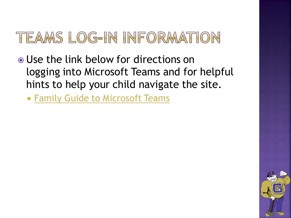#### TEAMS LOG-IN INFORMATION

- Use the link below for directions on logging into Microsoft Teams and for helpful hints to help your child navigate the site.
	- **[Family Guide to Microsoft Teams](https://gboeorg.sharepoint.com/:p:/s/GHSSupervisors/EVPpCnypfmpPqUX2tUcVqi4BbrkTjc7j_1zYRO2huRiitg?e=u7Cwfx)**

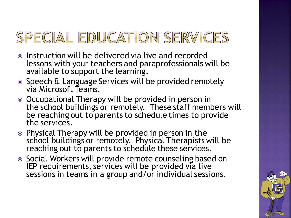### SPECIAL EDUCATION SERVICES

- Instruction will be delivered via live and recorded lessons with your teachers and paraprofessionals will be available to support the learning.
- Speech & Language Services will be provided remotely via Microsoft Teams.
- Occupational Therapy will be provided in person in the school buildings or remotely. These staff members will be reaching out to parents to schedule times to provide the services.
- Physical Therapy will be provided in person in the school buildings or remotely. Physical Therapists will be reaching out to parents to schedule these services.
- Social Workers will provide remote counseling based on IEP requirements, services will be provided via live sessions in teams in a group and/or individual sessions.

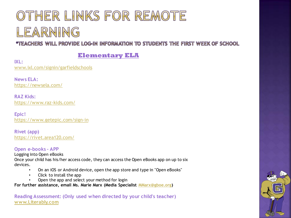### OTHER LINKS FOR REMOTE LEARNING

\*TEACHERS WILL PROVIDE LOG-IN INFORMATION TO STUDENTS THE FIRST WEEK OF SCHOOL

#### **Elementary ELA**

**IXL:** [www.ixl.com/signin/garfieldschools](http://www.ixl.com/signin/garfieldschools)

**News ELA:** <https://newsela.com/>

**RAZ Kids:** <https://www.raz-kids.com/>

**Epic!** <https://www.getepic.com/sign-in>

**Rivet (app)** <https://rivet.area120.com/>

#### **Open e-books – APP**

Logging into Open eBooks Once your child has his/her access code, they can access the Open eBooks app on up to six devices.

- On an iOS or Android device, open the app store and type in "Open eBooks"
- Click to install the app
- Open the app and select your method for login

**For further assistance, email Ms. Marie Marx (Media Specialist [MMarx@gboe.org\)](mailto:MMarx@gboe.org)**

**Reading Assessment: (Only used when directed by your child's teacher) [www.Literably.com](http://www.literably.com/)**

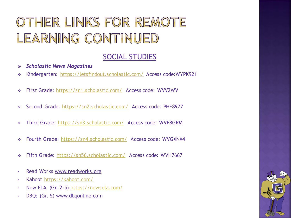### OTHER LINKS FOR REMOTE LEARNING CONTINUED

#### SOCIAL STUDIES

- *Scholastic News Magazines*
- ❖ Kindergarten: <https://letsfindout.scholastic.com/> Access code:WYPK921
- ❖ First Grade: <https://sn1.scholastic.com/> Access code: WVV2WV
- Second Grade: <https://sn2.scholastic.com/> Access code: PHF8977
- ❖ Third Grade: <https://sn3.scholastic.com/> Access code: WVF8GRM
- ❖ Fourth Grade: <https://sn4.scholastic.com/> Access code: WVGXNX4
- ❖ Fifth Grade: <https://sn56.scholastic.com/> Access code: WVH7667
- Read Works [www.readworks.org](http://www.readworks.org)
- Kahoot <https://kahoot.com/>
- New ELA (Gr. 2-5) <https://newsela.com/>
- DBQ: (Gr. 5) [www.dbqonline.com](http://www.dbqonline.com)

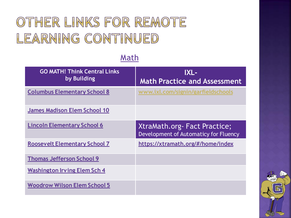#### OTHER LINKS FOR REMOTE LEARNING CONTINUED

#### Math

| <b>GO MATH! Think Central Links</b><br>by Building | IXL-<br><b>Math Practice and Assessment</b>                            |
|----------------------------------------------------|------------------------------------------------------------------------|
| <b>Columbus Elementary School 8</b>                | www.ixl.com/signin/garfieldschools                                     |
| <b>James Madison Elem School 10</b>                |                                                                        |
| <b>Lincoln Elementary School 6</b>                 | XtraMath.org - Fact Practice;<br>Development of Automaticy for Fluency |
| <b>Roosevelt Elementary School 7</b>               | https://xtramath.org/#/home/index                                      |
| <b>Thomas Jefferson School 9</b>                   |                                                                        |
| <b>Washington Irving Elem Sch 4</b>                |                                                                        |
| <b>Woodrow Wilson Elem School 5</b>                |                                                                        |

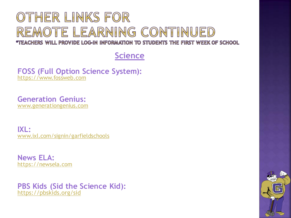### OTHER LINKS FOR REMOTE LEARNING CONTINUED

\*TEACHERS WILL PROVIDE LOG-IN INFORMATION TO STUDENTS THE FIRST WEEK OF SCHOOL

**Science**

**FOSS (Full Option Science System):** [https://www.fossweb.com](https://www.fossweb.com/)

**Generation Genius:** [www.generationgenius.com](https://www.generationgenius.com/activate)

**IXL:** [www.ixl.com/signin/garfieldschools](http://www.ixl.com/signin/garfieldschools)

**News ELA:** [https://newsela.com](https://newsela.com/)

**PBS Kids (Sid the Science Kid):** [https://pbskids.org/sid](https://pbskids.org/sid/)

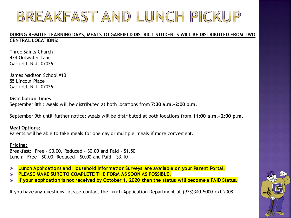### BREAKFAST AND LUNCH PICKUP

#### **DURING REMOTE LEARNING DAYS, MEALS TO GARFIELD DISTRICT STUDENTS WILL BE DISTRIBUTED FROM TWO CENTRAL LOCATIONS:**

Three Saints Church 474 Outwater Lane Garfield, N.J. 07026

James Madison School #10 55 Lincoln Place Garfield, N.J. 07026

#### **Distribution Times:**

September 8th : Meals will be distributed at both locations from **7:30 a.m.-2:00 p.m.**

September 9th until further notice: Meals will be distributed at both locations from **11:00 a.m.- 2:00 p.m.**

#### **Meal Options:**

Parents will be able to take meals for one day or multiple meals if more convenient.

#### **Pricing:**

Breakfast: Free - \$0.00, Reduced - \$0.00 and Paid - \$1.50 Lunch: Free - \$0.00, Reduced - \$0.00 and Paid - \$3.10

- **Lunch Applications and Household Information Surveys are available on your Parent Portal.**
- **PLEASE MAKE SURE TO COMPLETE THE FORM AS SOON AS POSSIBLE.**
- **If your application is not received by October 1, 2020 than the status will become a PAID Status.**

If you have any questions, please contact the Lunch Application Department at (973)340-5000 ext 2308